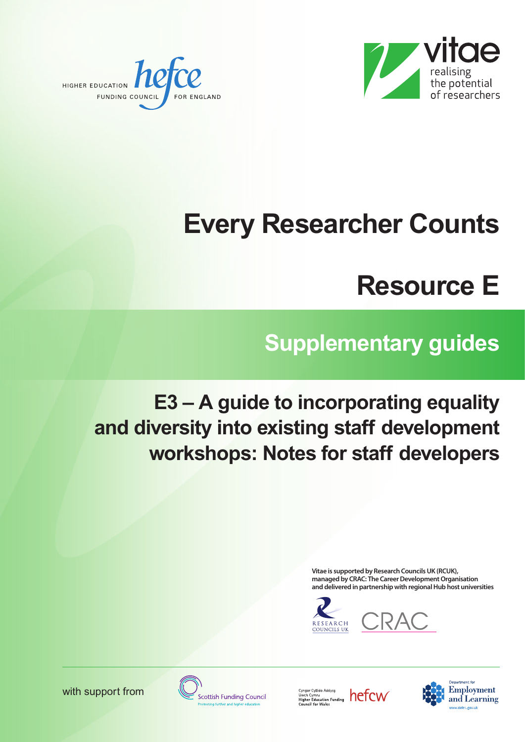



# **Every Researcher Counts**

## **Resource E**

## **Supplementary guides**

### **E3 – A guide to incorporating equality and diversity into existing staff development workshops: Notes for staff developers**

**Vitae is supported by Research CouncilsUK (RCUK), managed by CRAC: The CareerDevelopment Organisation and delivered in partnership with regionalHub host universities**





with support from

**Scottish Funding Council** 

Cyngor Cyllido Addysg<br>Uwch Cymru<br>Higher Education Funding<br>Council for Wales



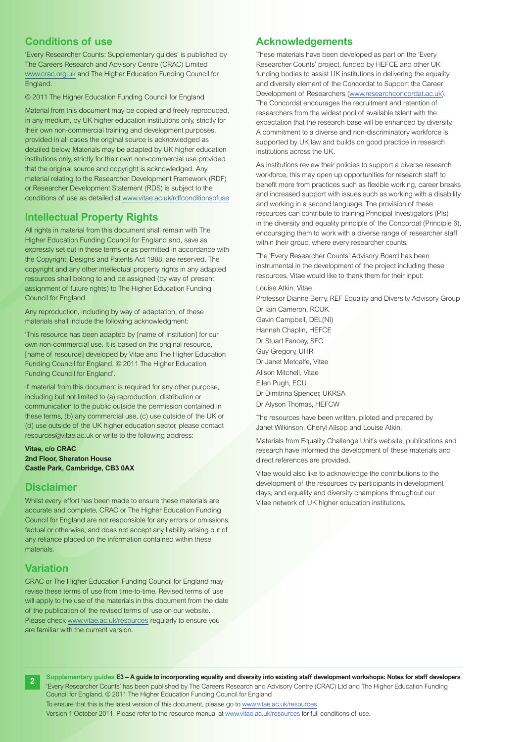#### **Conditions of use**

'Every Researcher Counts: Supplementary guides' is published by The Careers Research and Advisory Centre (CRAC) Limited [www.crac.org.uk](http://www.crac.org.uk) and The Higher Education Funding Council for England.

© 2011 The Higher Education Funding Council for England

Material from this document may be copied and freely reproduced, in any medium, by UK higher education institutions only, strictly for their own non-commercial training and development purposes, provided in all cases the original source is acknowledged as detailed below. Materials may be adapted by UK higher education institutions only, strictly for their own non-commercial use provided that the original source and copyright is acknowledged. Any material relating to the Researcher Development Framework (RDF) or Researcher Development Statement (RDS) is subject to the conditions of use as detailed at [www.vitae.ac.uk/rdfconditionsofuse](http://www.vitae.ac.uk/rdfconditionsofuse)

#### **Intellectual Property Rights**

All rights in material from this document shall remain with The Higher Education Funding Council for England and, save as expressly set out in these terms or as permitted in accordance with the Copyright, Designs and Patents Act 1988, are reserved. The copyright and any other intellectual property rights in any adapted resources shall belong to and be assigned (by way of present assignment of future rights) to The Higher Education Funding Council for England.

Any reproduction, including by way of adaptation, of these materials shall include the following acknowledgment:

'This resource has been adapted by [name of institution] for our own non-commercial use. It is based on the original resource, [name of resource] developed by Vitae and The Higher Education Funding Council for England, © 2011 The Higher Education Funding Council for England'.

If material from this document is required for any other purpose, including but not limited to (a) reproduction, distribution or communication to the public outside the permission contained in these terms, (b) any commercial use, (c) use outside of the UK or (d) use outside of the UK higher education sector, please contact [resources@vitae.ac.uk](mailto:resources@vitae.ac.uk) or write to the following address:

**Vitae, c/o CRAC 2nd Floor, Sheraton House Castle Park, Cambridge, CB3 0AX**

#### **Disclaimer**

Whilst every effort has been made to ensure these materials are accurate and complete, CRAC or The Higher Education Funding Council for England are not responsible for any errors or omissions, factual or otherwise, and does not accept any liability arising out of any reliance placed on the information contained within these materials.

#### **Variation**

CRAC or The Higher Education Funding Council for England may revise these terms of use from time-to-time. Revised terms of use will apply to the use of the materials in this document from the date of the publication of the revised terms of use on our website. Please check [www.vitae.ac.uk/resources](http://www.vitae.ac.uk/resources) regularly to ensure you are familiar with the current version.

#### **Acknowledgements**

These materials have been developed as part on the 'Every Researcher Counts' project, funded by HEFCE and other UK funding bodies to assist UK institutions in delivering the equality and diversity element of the Concordat to Support the Career Development of Researchers [\(www.researchconcordat.ac.uk\).](http://www.researchconcordat.ac.uk) The Concordat encourages the recruitment and retention of researchers from the widest pool of available talent with the expectation that the research base will be enhanced by diversity. A commitment to a diverse and non-discriminatory workforce is supported by UK law and builds on good practice in research institutions across the UK.

As institutions review their policies to support a diverse research workforce, this may open up opportunities for research staff to benefit more from practices such as flexible working, career breaks and increased support with issues such as working with a disability and working in a second language. The provision of these resources can contribute to training Principal Investigators (PIs) in the diversity and equality principle of the Concordat (Principle 6), encouraging them to work with a diverse range of researcher staff within their group, where every researcher counts.

The 'Every Researcher Counts' Advisory Board has been instrumental in the development of the project including these resources. Vitae would like to thank them for their input:

Louise Atkin, Vitae Professor Dianne Berry, REF Equality and Diversity Advisory Group Dr Iain Cameron, RCUK Gavin Campbell, DEL(NI) Hannah Chaplin, HEFCE Dr Stuart Fancey, SFC Guy Gregory, UHR Dr Janet Metcalfe, Vitae Alison Mitchell, Vitae Ellen Pugh, ECU Dr Dimitrina Spencer, UKRSA Dr Alyson Thomas, HEFCW

The resources have been written, piloted and prepared by Janet Wilkinson, Cheryl Allsop and Louise Atkin.

Materials from Equality Challenge Unit's website, publications and research have informed the development of these materials and direct references are provided.

Vitae would also like to acknowledge the contributions to the development of the resources by participants in development days, and equality and diversity champions throughout our Vitae network of UK higher education institutions.



Supplementary guides E3-A guide to incorporating equality and diversity into existing staff development workshops: Notes for staff developers 'Every Researcher Counts' has been published by The Careers Research and Advisory Centre (CRAC) Ltd and The Higher Education Funding Council for England. © 2011 The Higher Education Funding Council for England

To ensure that this is the latest version of this document, please go to [www.vitae.ac.uk/resources](http://www.vitae.ac.uk/resources)

Version 1 October 2011. Please refer to the resource manual at [www.vitae.ac.uk/resources](http://www.vitae.ac.uk/resources) for full conditions of use.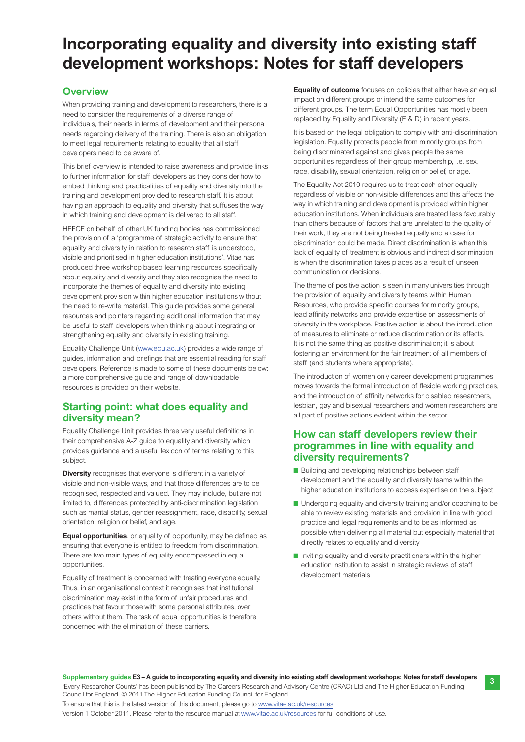### **Incorporating equality and diversity into existing staff development workshops: Notes for staff developers**

#### **Overview**

When providing training and development to researchers, there is a need to consider the requirements of a diverse range of individuals, their needs in terms of development and their personal needs regarding delivery of the training. There is also an obligation to meet legal requirements relating to equality that all staff developers need to be aware of.

This brief overview is intended to raise awareness and provide links to further information for staff developers as they consider how to embed thinking and practicalities of equality and diversity into the training and development provided to research staff. It is about having an approach to equality and diversity that suffuses the way in which training and development is delivered to all staff.

HEFCE on behalf of other UK funding bodies has commissioned the provision of a 'programme of strategic activity to ensure that equality and diversity in relation to research staff is understood, visible and prioritised in higher education institutions'. Vitae has produced three workshop based learning resources specifically about equality and diversity and they also recognise the need to incorporate the themes of equality and diversity into existing development provision within higher education institutions without the need to re-write material. This guide provides some general resources and pointers regarding additional information that may be useful to staff developers when thinking about integrating or strengthening equality and diversity in existing training.

Equality Challenge Unit [\(www.ecu.ac.uk\)](http://www.ecu.ac.uk) provides a wide range of guides, information and briefings that are essential reading for staff developers. Reference is made to some of these documents below; a more comprehensive guide and range of downloadable resources is provided on their website.

#### **Starting point: what does equality and diversity mean?**

Equality Challenge Unit provides three very useful definitions in their comprehensive A-Z guide to equality and diversity which provides guidance and a useful lexicon of terms relating to this subject.

**Diversity** recognises that everyone is different in a variety of visible and non-visible ways, and that those differences are to be recognised, respected and valued. They may include, but are not limited to, differences protected by anti-discrimination legislation such as marital status, gender reassignment, race, disability, sexual orientation, religion or belief, and age.

**Equal opportunities**, or equality of opportunity, may be defined as ensuring that everyone is entitled to freedom from discrimination. There are two main types of equality encompassed in equal opportunities.

Equality of treatment is concerned with treating everyone equally. Thus, in an organisational context it recognises that institutional discrimination may exist in the form of unfair procedures and practices that favour those with some personal attributes, over others without them. The task of equal opportunities is therefore concerned with the elimination of these barriers.

**Equality of outcome** focuses on policies that either have an equal impact on different groups or intend the same outcomes for different groups. The term Equal Opportunities has mostly been replaced by Equality and Diversity (E & D) in recent years.

It is based on the legal obligation to comply with anti-discrimination legislation. Equality protects people from minority groups from being discriminated against and gives people the same opportunities regardless of their group membership, i.e. sex, race, disability, sexual orientation, religion or belief, or age.

The Equality Act 2010 requires us to treat each other equally regardless of visible or non-visible differences and this affects the way in which training and development is provided within higher education institutions. When individuals are treated less favourably than others because of factors that are unrelated to the quality of their work, they are not being treated equally and a case for discrimination could be made. Direct discrimination is when this lack of equality of treatment is obvious and indirect discrimination is when the discrimination takes places as a result of unseen communication or decisions.

The theme of positive action is seen in many universities through the provision of equality and diversity teams within Human Resources, who provide specific courses for minority groups, lead affinity networks and provide expertise on assessments of diversity in the workplace. Positive action is about the introduction of measures to eliminate or reduce discrimination or its effects. It is not the same thing as positive discrimination; it is about fostering an environment for the fair treatment of all members of staff (and students where appropriate).

The introduction of women only career development programmes moves towards the formal introduction of flexible working practices, and the introduction of affinity networks for disabled researchers, lesbian, gay and bisexual researchers and women researchers are all part of positive actions evident within the sector.

#### **How can staff developers review their programmes in line with equality and diversity requirements?**

- Building and developing relationships between staff development and the equality and diversity teams within the higher education institutions to access expertise on the subject
- Undergoing equality and diversity training and/or coaching to be able to review existing materials and provision in line with good practice and legal requirements and to be as informed as possible when delivering all material but especially material that directly relates to equality and diversity

**3**

■ Inviting equality and diversity practitioners within the higher education institution to assist in strategic reviews of staff development materials

Version 1 October 2011. Please refer to the resource manual at [www.vitae.ac.uk/resources](http://www.vitae.ac.uk/resources) for full conditions of use.